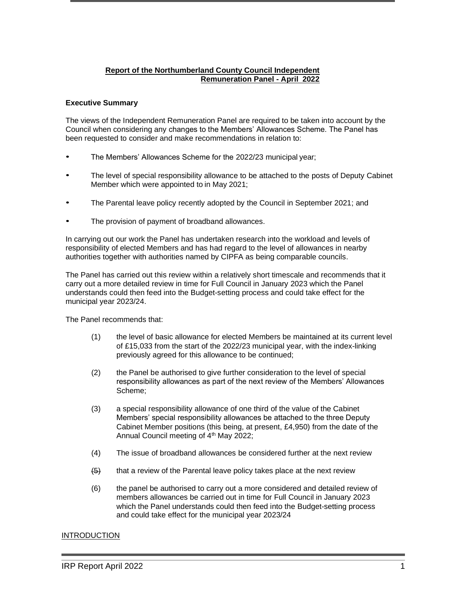# **Report of the Northumberland County Council Independent Remuneration Panel - April 2022**

### **Executive Summary**

The views of the Independent Remuneration Panel are required to be taken into account by the Council when considering any changes to the Members' Allowances Scheme. The Panel has been requested to consider and make recommendations in relation to:

- The Members' Allowances Scheme for the 2022/23 municipal year;
- The level of special responsibility allowance to be attached to the posts of Deputy Cabinet Member which were appointed to in May 2021;
- The Parental leave policy recently adopted by the Council in September 2021; and
- The provision of payment of broadband allowances.

In carrying out our work the Panel has undertaken research into the workload and levels of responsibility of elected Members and has had regard to the level of allowances in nearby authorities together with authorities named by CIPFA as being comparable councils.

The Panel has carried out this review within a relatively short timescale and recommends that it carry out a more detailed review in time for Full Council in January 2023 which the Panel understands could then feed into the Budget-setting process and could take effect for the municipal year 2023/24.

The Panel recommends that:

- (1) the level of basic allowance for elected Members be maintained at its current level of £15,033 from the start of the 2022/23 municipal year, with the index-linking previously agreed for this allowance to be continued;
- (2) the Panel be authorised to give further consideration to the level of special responsibility allowances as part of the next review of the Members' Allowances Scheme;
- (3) a special responsibility allowance of one third of the value of the Cabinet Members' special responsibility allowances be attached to the three Deputy Cabinet Member positions (this being, at present, £4,950) from the date of the Annual Council meeting of 4<sup>th</sup> May 2022;
- (4) The issue of broadband allowances be considered further at the next review
- $\left(6\right)$  that a review of the Parental leave policy takes place at the next review
- (6) the panel be authorised to carry out a more considered and detailed review of members allowances be carried out in time for Full Council in January 2023 which the Panel understands could then feed into the Budget-setting process and could take effect for the municipal year 2023/24

# **INTRODUCTION**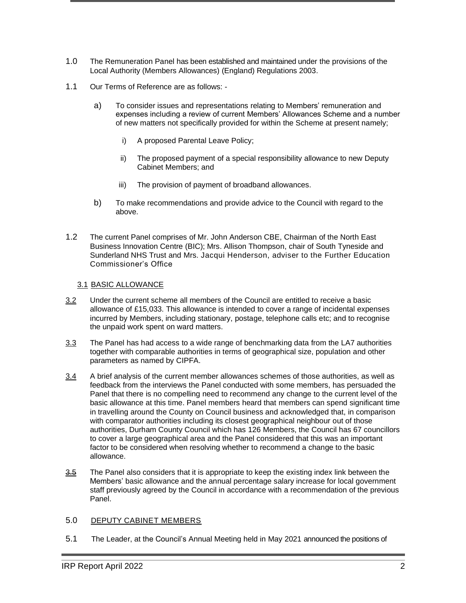- 1.0 The Remuneration Panel has been established and maintained under the provisions of the Local Authority (Members Allowances) (England) Regulations 2003.
- 1.1 Our Terms of Reference are as follows:
	- a) To consider issues and representations relating to Members' remuneration and expenses including a review of current Members' Allowances Scheme and a number of new matters not specifically provided for within the Scheme at present namely;
		- i) A proposed Parental Leave Policy;
		- ii) The proposed payment of a special responsibility allowance to new Deputy Cabinet Members; and
		- iii) The provision of payment of broadband allowances.
	- b) To make recommendations and provide advice to the Council with regard to the above.
- 1.2 The current Panel comprises of Mr. John Anderson CBE, Chairman of the North East Business Innovation Centre (BIC); Mrs. Allison Thompson, chair of South Tyneside and Sunderland NHS Trust and Mrs. Jacqui Henderson, adviser to the Further Education Commissioner's Office

## 3.1 BASIC ALLOWANCE

- 3.2 Under the current scheme all members of the Council are entitled to receive a basic allowance of £15,033. This allowance is intended to cover a range of incidental expenses incurred by Members, including stationary, postage, telephone calls etc; and to recognise the unpaid work spent on ward matters.
- 3.3 The Panel has had access to a wide range of benchmarking data from the LA7 authorities together with comparable authorities in terms of geographical size, population and other parameters as named by CIPFA.
- 3.4 A brief analysis of the current member allowances schemes of those authorities, as well as feedback from the interviews the Panel conducted with some members, has persuaded the Panel that there is no compelling need to recommend any change to the current level of the basic allowance at this time. Panel members heard that members can spend significant time in travelling around the County on Council business and acknowledged that, in comparison with comparator authorities including its closest geographical neighbour out of those authorities, Durham County Council which has 126 Members, the Council has 67 councillors to cover a large geographical area and the Panel considered that this was an important factor to be considered when resolving whether to recommend a change to the basic allowance.
- 3.5 The Panel also considers that it is appropriate to keep the existing index link between the Members' basic allowance and the annual percentage salary increase for local government staff previously agreed by the Council in accordance with a recommendation of the previous Panel.

#### 5.0 DEPUTY CABINET MEMBERS

5.1 The Leader, at the Council's Annual Meeting held in May 2021 announced the positions of